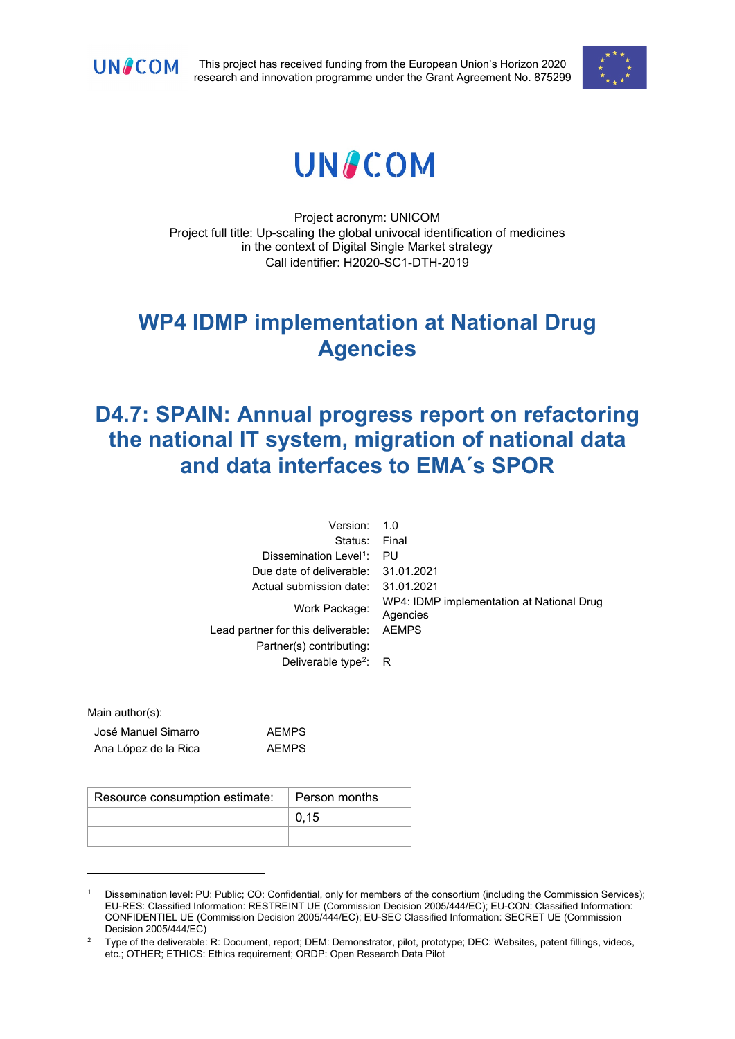

This project has received funding from the European Union's Horizon 2020 research and innovation programme under the Grant Agreement No. 875299



# **UNACOM**

Project acronym: UNICOM Project full title: Up-scaling the global univocal identification of medicines in the context of Digital Single Market strategy Call identifier: H2020-SC1-DTH-2019

# **WP4 IDMP implementation at National Drug Agencies**

# **D4.7: SPAIN: Annual progress report on refactoring the national IT system, migration of national data and data interfaces to EMA´s SPOR**

| Version:                           | 1.0                                                   |
|------------------------------------|-------------------------------------------------------|
| Status:                            | Final                                                 |
| Dissemination Level <sup>1</sup> : | PU                                                    |
| Due date of deliverable:           | 31.01.2021                                            |
| Actual submission date:            | 31.01.2021                                            |
| Work Package:                      | WP4: IDMP implementation at National Drug<br>Agencies |
| Lead partner for this deliverable: | <b>AEMPS</b>                                          |
| Partner(s) contributing:           |                                                       |
| Deliverable type <sup>2</sup> : R  |                                                       |
|                                    |                                                       |

Main author(s):

| José Manuel Simarro  | <b>AEMPS</b> |
|----------------------|--------------|
| Ana López de la Rica | <b>AEMPS</b> |

| Resource consumption estimate:   Person months |      |
|------------------------------------------------|------|
|                                                | 0.15 |
|                                                |      |

<span id="page-0-0"></span><sup>1</sup> Dissemination level: PU: Public; CO: Confidential, only for members of the consortium (including the Commission Services); EU-RES: Classified Information: RESTREINT UE (Commission Decision 2005/444/EC); EU-CON: Classified Information: CONFIDENTIEL UE (Commission Decision 2005/444/EC); EU-SEC Classified Information: SECRET UE (Commission Decision 2005/444/EC)

<span id="page-0-1"></span><sup>&</sup>lt;sup>2</sup> Type of the deliverable: R: Document, report; DEM: Demonstrator, pilot, prototype; DEC: Websites, patent fillings, videos, etc.; OTHER; ETHICS: Ethics requirement; ORDP: Open Research Data Pilot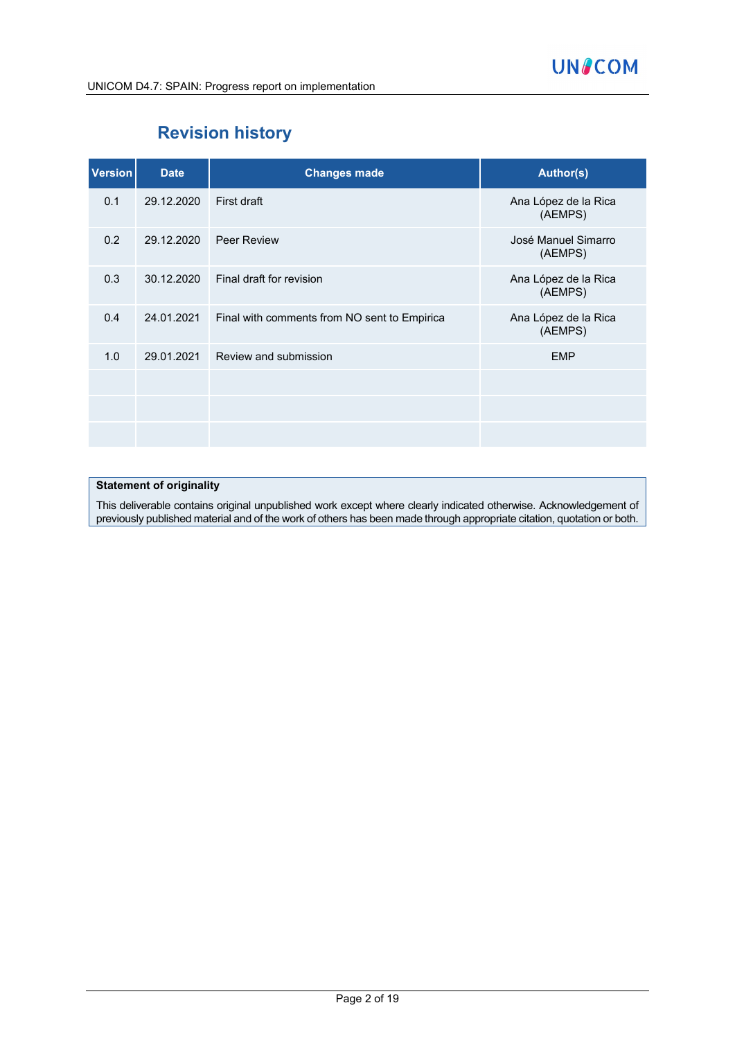

# **Revision history**

| <b>Version</b> | <b>Date</b> | <b>Changes made</b>                          | <b>Author(s)</b>                |
|----------------|-------------|----------------------------------------------|---------------------------------|
| 0.1            | 29.12.2020  | First draft                                  | Ana López de la Rica<br>(AEMPS) |
| 0.2            | 29.12.2020  | <b>Peer Review</b>                           | José Manuel Simarro<br>(AEMPS)  |
| 0.3            | 30.12.2020  | Final draft for revision                     | Ana López de la Rica<br>(AEMPS) |
| 0.4            | 24.01.2021  | Final with comments from NO sent to Empirica | Ana López de la Rica<br>(AEMPS) |
| 1.0            | 29.01.2021  | Review and submission                        | <b>EMP</b>                      |
|                |             |                                              |                                 |
|                |             |                                              |                                 |
|                |             |                                              |                                 |

#### **Statement of originality**

This deliverable contains original unpublished work except where clearly indicated otherwise. Acknowledgement of previously published material and of the work of others has been made through appropriate citation, quotation or both.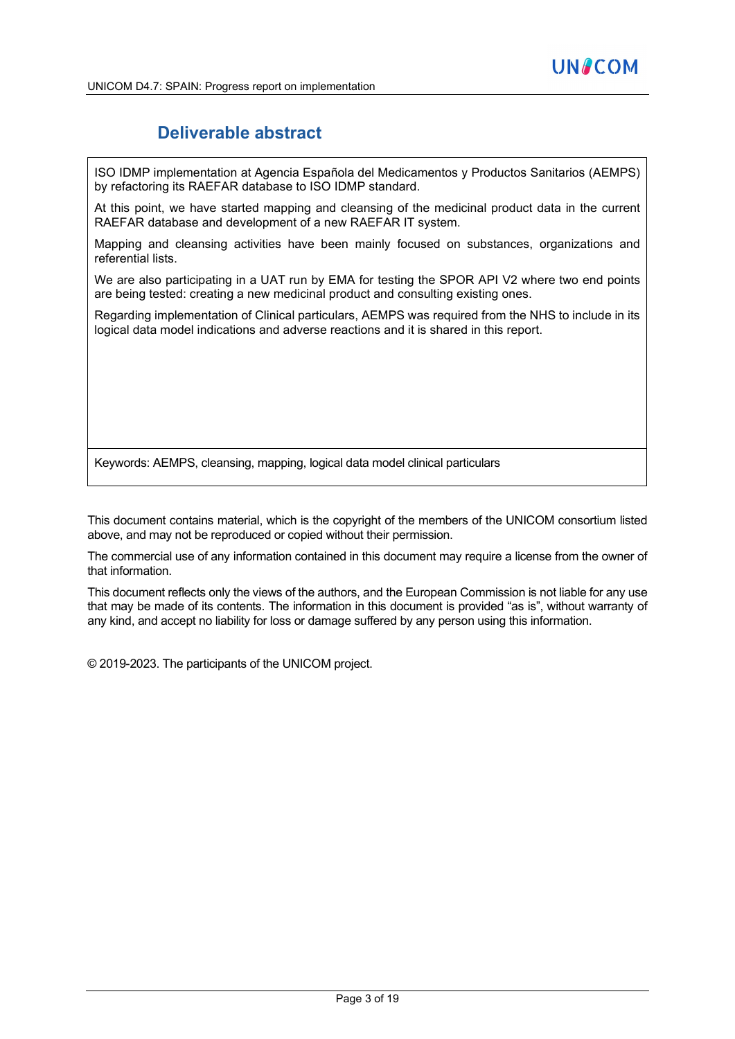### **Deliverable abstract**

ISO IDMP implementation at Agencia Española del Medicamentos y Productos Sanitarios (AEMPS) by refactoring its RAEFAR database to ISO IDMP standard.

At this point, we have started mapping and cleansing of the medicinal product data in the current RAEFAR database and development of a new RAEFAR IT system.

Mapping and cleansing activities have been mainly focused on substances, organizations and referential lists.

We are also participating in a UAT run by EMA for testing the SPOR API V2 where two end points are being tested: creating a new medicinal product and consulting existing ones.

Regarding implementation of Clinical particulars, AEMPS was required from the NHS to include in its logical data model indications and adverse reactions and it is shared in this report.

Keywords: AEMPS, cleansing, mapping, logical data model clinical particulars

This document contains material, which is the copyright of the members of the UNICOM consortium listed above, and may not be reproduced or copied without their permission.

The commercial use of any information contained in this document may require a license from the owner of that information.

This document reflects only the views of the authors, and the European Commission is not liable for any use that may be made of its contents. The information in this document is provided "as is", without warranty of any kind, and accept no liability for loss or damage suffered by any person using this information.

© 2019-2023. The participants of the UNICOM project.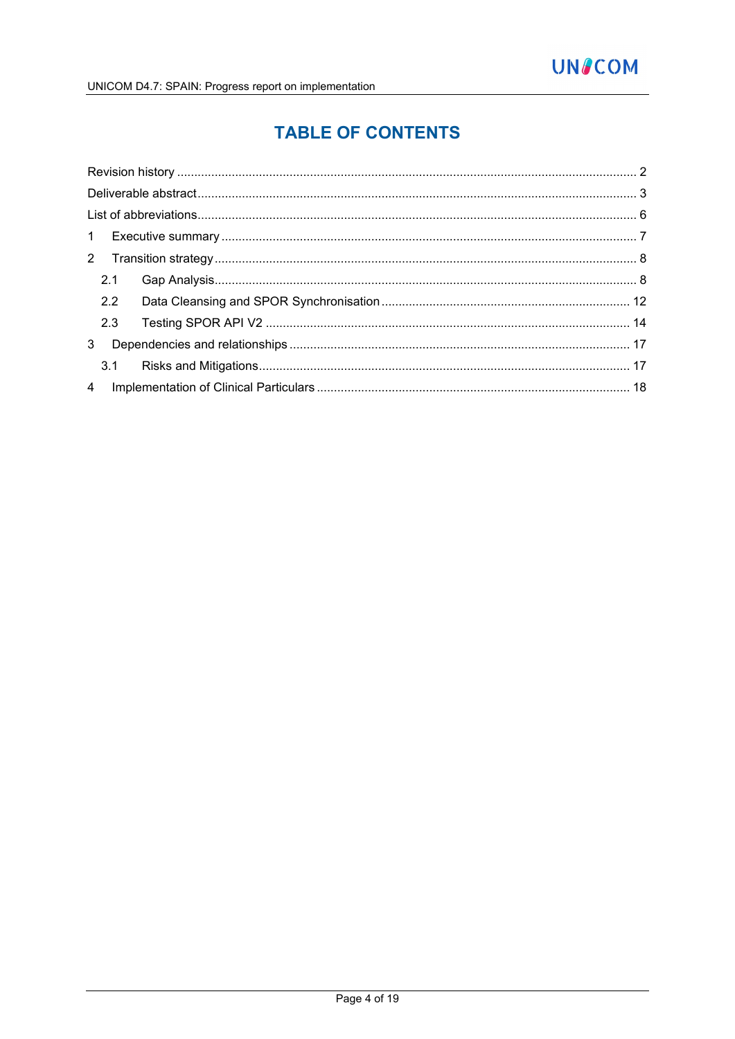# **TABLE OF CONTENTS**

|   | 2.1 |  |
|---|-----|--|
|   | 2.2 |  |
|   | 2.3 |  |
| 3 |     |  |
|   |     |  |
|   |     |  |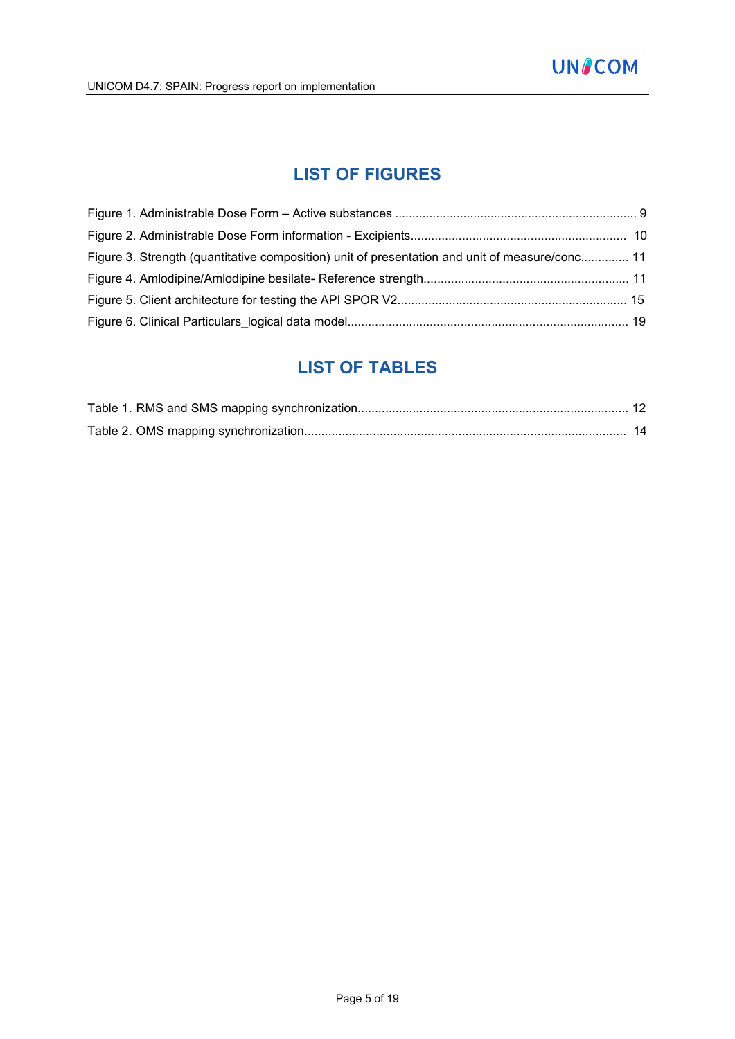### **LIST OF FIGURES**

| Figure 3. Strength (quantitative composition) unit of presentation and unit of measure/conc 11 |  |
|------------------------------------------------------------------------------------------------|--|
|                                                                                                |  |
|                                                                                                |  |
|                                                                                                |  |

### **LIST OF TABLES**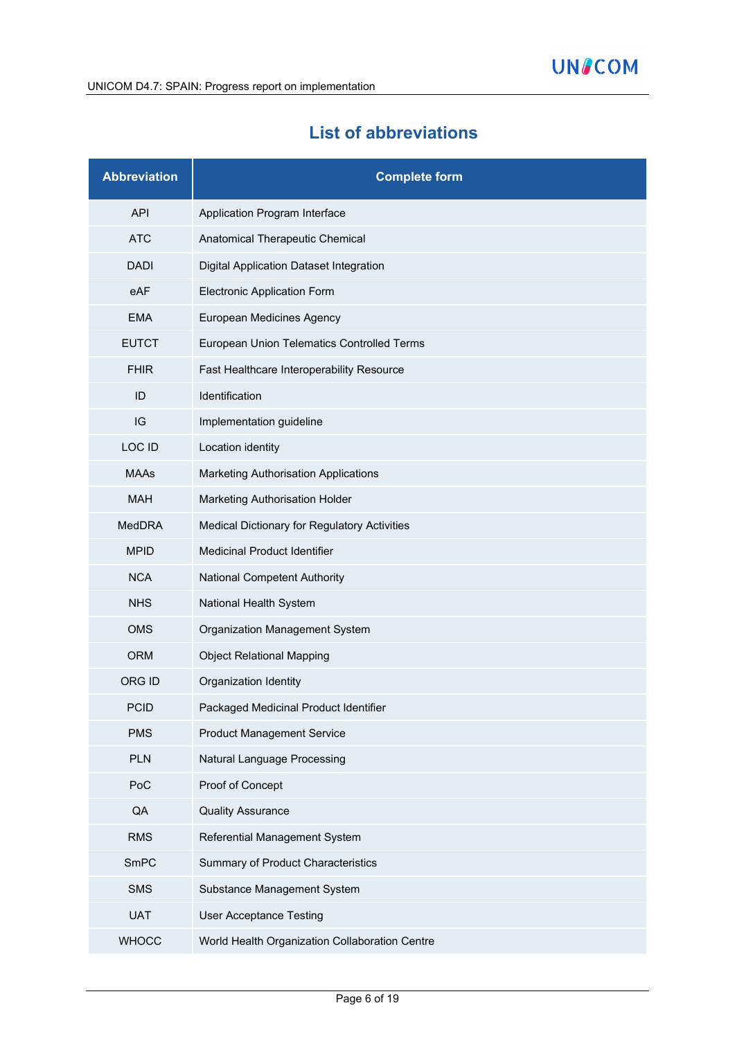# **List of abbreviations**

| <b>Abbreviation</b> | <b>Complete form</b>                           |
|---------------------|------------------------------------------------|
| <b>API</b>          | Application Program Interface                  |
| <b>ATC</b>          | Anatomical Therapeutic Chemical                |
| <b>DADI</b>         | Digital Application Dataset Integration        |
| eAF                 | <b>Electronic Application Form</b>             |
| <b>EMA</b>          | European Medicines Agency                      |
| <b>EUTCT</b>        | European Union Telematics Controlled Terms     |
| <b>FHIR</b>         | Fast Healthcare Interoperability Resource      |
| ID                  | Identification                                 |
| IG                  | Implementation guideline                       |
| LOC ID              | Location identity                              |
| <b>MAAs</b>         | <b>Marketing Authorisation Applications</b>    |
| <b>MAH</b>          | Marketing Authorisation Holder                 |
| <b>MedDRA</b>       | Medical Dictionary for Regulatory Activities   |
| <b>MPID</b>         | <b>Medicinal Product Identifier</b>            |
| <b>NCA</b>          | <b>National Competent Authority</b>            |
| <b>NHS</b>          | National Health System                         |
| <b>OMS</b>          | Organization Management System                 |
| <b>ORM</b>          | <b>Object Relational Mapping</b>               |
| <b>ORG ID</b>       | Organization Identity                          |
| <b>PCID</b>         | Packaged Medicinal Product Identifier          |
| <b>PMS</b>          | <b>Product Management Service</b>              |
| <b>PLN</b>          | Natural Language Processing                    |
| PoC                 | Proof of Concept                               |
| QA                  | <b>Quality Assurance</b>                       |
| <b>RMS</b>          | Referential Management System                  |
| SmPC                | Summary of Product Characteristics             |
| <b>SMS</b>          | Substance Management System                    |
| <b>UAT</b>          | <b>User Acceptance Testing</b>                 |
| <b>WHOCC</b>        | World Health Organization Collaboration Centre |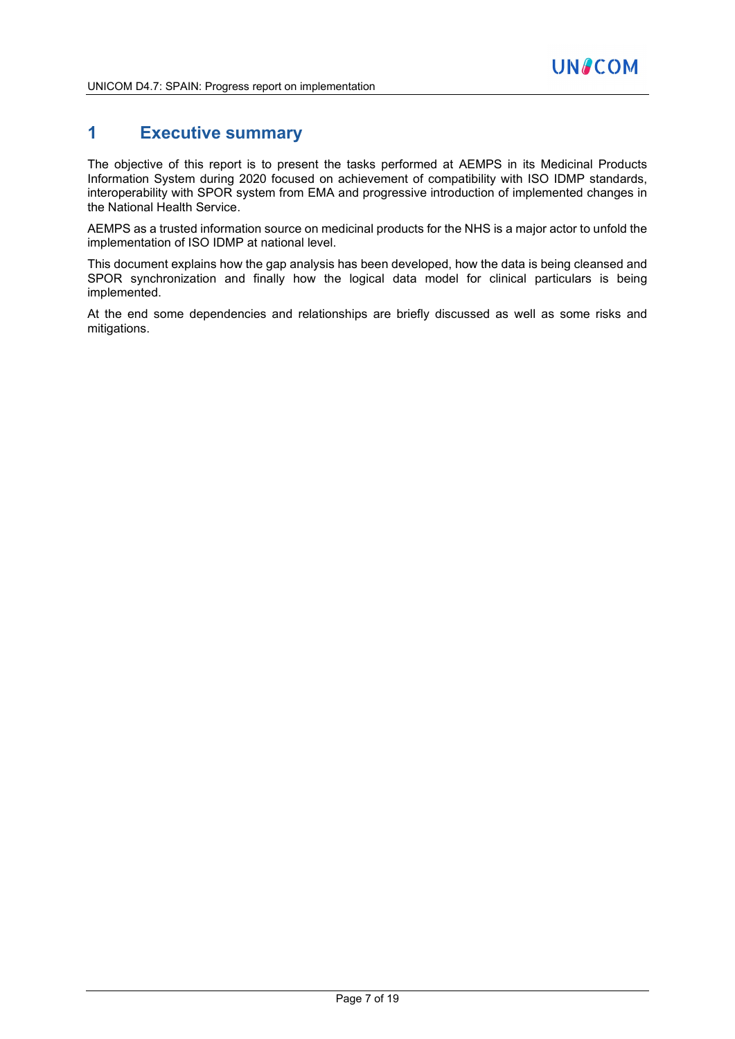### **1 Executive summary**

The objective of this report is to present the tasks performed at AEMPS in its Medicinal Products Information System during 2020 focused on achievement of compatibility with ISO IDMP standards, interoperability with SPOR system from EMA and progressive introduction of implemented changes in the National Health Service.

AEMPS as a trusted information source on medicinal products for the NHS is a major actor to unfold the implementation of ISO IDMP at national level.

This document explains how the gap analysis has been developed, how the data is being cleansed and SPOR synchronization and finally how the logical data model for clinical particulars is being implemented.

At the end some dependencies and relationships are briefly discussed as well as some risks and mitigations.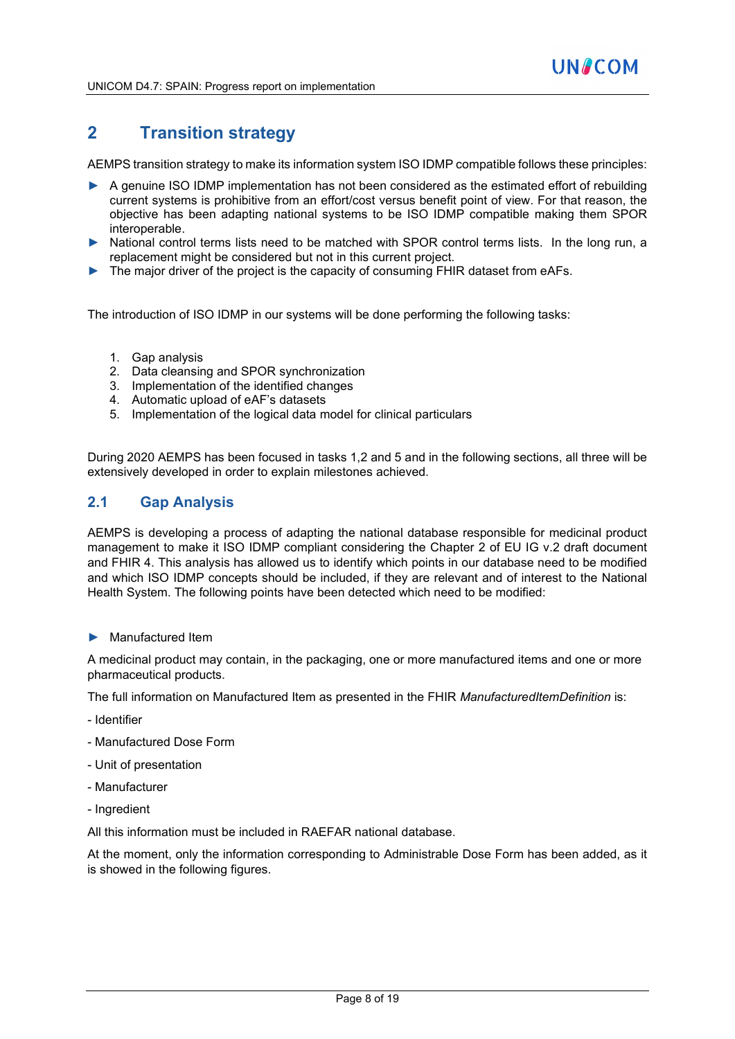### **2 Transition strategy**

AEMPS transition strategy to make its information system ISO IDMP compatible follows these principles:

- ► A genuine ISO IDMP implementation has not been considered as the estimated effort of rebuilding current systems is prohibitive from an effort/cost versus benefit point of view. For that reason, the objective has been adapting national systems to be ISO IDMP compatible making them SPOR interoperable.
- National control terms lists need to be matched with SPOR control terms lists. In the long run, a replacement might be considered but not in this current project.
- ► The major driver of the project is the capacity of consuming FHIR dataset from eAFs.

The introduction of ISO IDMP in our systems will be done performing the following tasks:

- 1. Gap analysis
- 2. Data cleansing and SPOR synchronization
- 3. Implementation of the identified changes
- 4. Automatic upload of eAF's datasets
- 5. Implementation of the logical data model for clinical particulars

During 2020 AEMPS has been focused in tasks 1,2 and 5 and in the following sections, all three will be extensively developed in order to explain milestones achieved.

#### **2.1 Gap Analysis**

AEMPS is developing a process of adapting the national database responsible for medicinal product management to make it ISO IDMP compliant considering the Chapter 2 of EU IG v.2 draft document and FHIR 4. This analysis has allowed us to identify which points in our database need to be modified and which ISO IDMP concepts should be included, if they are relevant and of interest to the National Health System. The following points have been detected which need to be modified:

Manufactured Item

A medicinal product may contain, in the packaging, one or more manufactured items and one or more pharmaceutical products.

The full information on Manufactured Item as presented in the FHIR *ManufacturedItemDefinition* is:

- Identifier
- Manufactured Dose Form
- Unit of presentation
- Manufacturer
- Ingredient

All this information must be included in RAEFAR national database.

At the moment, only the information corresponding to Administrable Dose Form has been added, as it is showed in the following figures.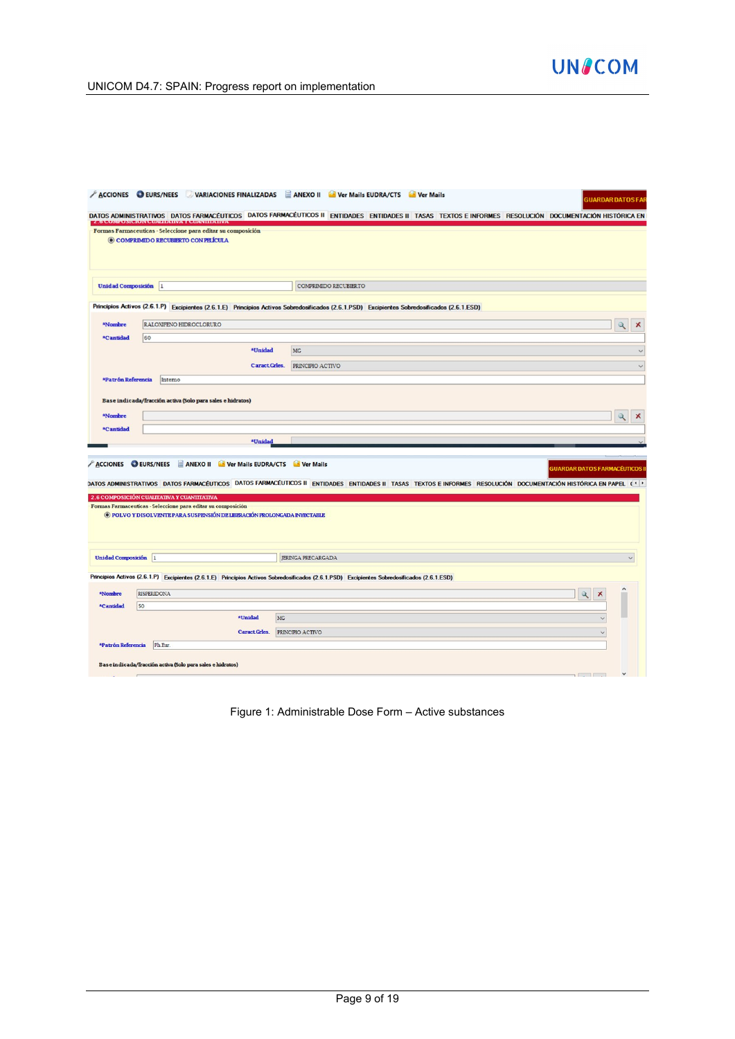

UNICOM D4.7: SPAIN: Progress report on implementation

| <b>ACCIONES O EURS/NEES</b> |                    |                                                                                                                                                                                        |                              | VARIACIONES FINALIZADAS E ANEXO II NO Ver Mails EUDRA/CTS NO Ver Mails<br><b>GUARDAR DATOS FAR</b>                                                                                                      |
|-----------------------------|--------------------|----------------------------------------------------------------------------------------------------------------------------------------------------------------------------------------|------------------------------|---------------------------------------------------------------------------------------------------------------------------------------------------------------------------------------------------------|
|                             |                    | Z O COMPOSICION CONTRIBUYA T COARTHAINA                                                                                                                                                |                              | DATOS ADMINISTRATIVOS DATOS FARMACÉUTICOS DATOS FARMACÉUTICOS II ENTIDADES ENTIDADES II TASAS TEXTOS E INFORMES RESOLUCIÓN DOCUMENTACIÓN HISTÓRICA EN                                                   |
|                             |                    | Formas Farmaceuticas - Seleccione para editar su composición<br>© COMPRIMIDO RECUBIERTO CON PELÍCULA                                                                                   |                              |                                                                                                                                                                                                         |
| Unidad Composición 1        |                    |                                                                                                                                                                                        |                              | COMPRIMIDO RECUBIERTO                                                                                                                                                                                   |
|                             |                    |                                                                                                                                                                                        |                              | Principios Activos (2.6.1.P) Excipientes (2.6.1.E) Principios Activos Sobredosificados (2.6.1.PSD) Excipientes Sobredosificados (2.6.1.ESD)                                                             |
| *Nombre                     |                    | RALONFENO HIDROCLORURO                                                                                                                                                                 |                              | $\alpha$<br>Х                                                                                                                                                                                           |
| *Cantidad                   | 60                 |                                                                                                                                                                                        |                              |                                                                                                                                                                                                         |
|                             |                    |                                                                                                                                                                                        | <b><i><u>AUnidad</u></i></b> | <b>MG</b><br>$\checkmark$                                                                                                                                                                               |
|                             |                    |                                                                                                                                                                                        | Caract Grles.                | PRINCIPIO ACTIVO<br>$\checkmark$                                                                                                                                                                        |
| *Patrón Referencia          |                    | Interno                                                                                                                                                                                |                              |                                                                                                                                                                                                         |
|                             |                    | Base indicada/fracción activa (Solo para sales e hidratos)                                                                                                                             |                              |                                                                                                                                                                                                         |
| *Nombre                     |                    |                                                                                                                                                                                        |                              | $\mathbf{\mathcal{Q}}$<br>х                                                                                                                                                                             |
| *Cantidad                   |                    |                                                                                                                                                                                        |                              |                                                                                                                                                                                                         |
|                             |                    |                                                                                                                                                                                        | *Unidad                      |                                                                                                                                                                                                         |
|                             |                    | ACCIONES O EURS/NEES ANEXO II Ver Mails EUDRA/CTS Ver Mails                                                                                                                            |                              | <b>GUARDAR DATOS FARMACÉUTICOS I</b><br>DATOS ADMINISTRATIVOS DATOS FARMACÉUTICOS DATOS FARMACÉUTICOS II ENTIDADES ENTIDADES II TASAS TEXTOS E INFORMES RESOLUCIÓN DOCUMENTACIÓN HISTÓRICA EN PAPEL (1) |
|                             |                    | 2.6 COMPOSICIÓN CUALITATIVA Y CUANITIATIVA<br>Formas Farmaceuticas - Seleccione para editar su composición<br>O POLVO Y DISOLVENTE PARA SUSPENSIÓN DE LIBERACIÓN PROLONGADA INYECTABLE |                              |                                                                                                                                                                                                         |
| <b>Unidad Composición</b>   | $\vert$ 1          |                                                                                                                                                                                        |                              | JERINGA PRECARGADA                                                                                                                                                                                      |
|                             |                    |                                                                                                                                                                                        |                              | Principios Activos (2.6.1.P) Excipientes (2.6.1.E) Principios Activos Sobredosificados (2.6.1.PSD) Excipientes Sobredosificados (2.6.1.ESD)                                                             |
| *Nombre                     | <b>RISPERIDONA</b> |                                                                                                                                                                                        |                              | $\mathbb{Q}$<br>$\boldsymbol{\times}$                                                                                                                                                                   |
| *Cantidad                   | 50                 |                                                                                                                                                                                        |                              |                                                                                                                                                                                                         |
|                             |                    |                                                                                                                                                                                        | <b>*Unidad</b>               | MG                                                                                                                                                                                                      |
|                             |                    |                                                                                                                                                                                        | Caract Grles.                | PRINCIPIO ACTIVO                                                                                                                                                                                        |
| *Patrón Referencia          |                    | Ph Eur.                                                                                                                                                                                |                              |                                                                                                                                                                                                         |
|                             |                    | Base indicada/fracción activa (Solo para sales e hidratos)                                                                                                                             |                              |                                                                                                                                                                                                         |
|                             |                    |                                                                                                                                                                                        |                              | $T = T$                                                                                                                                                                                                 |

Figure 1: Administrable Dose Form – Active substances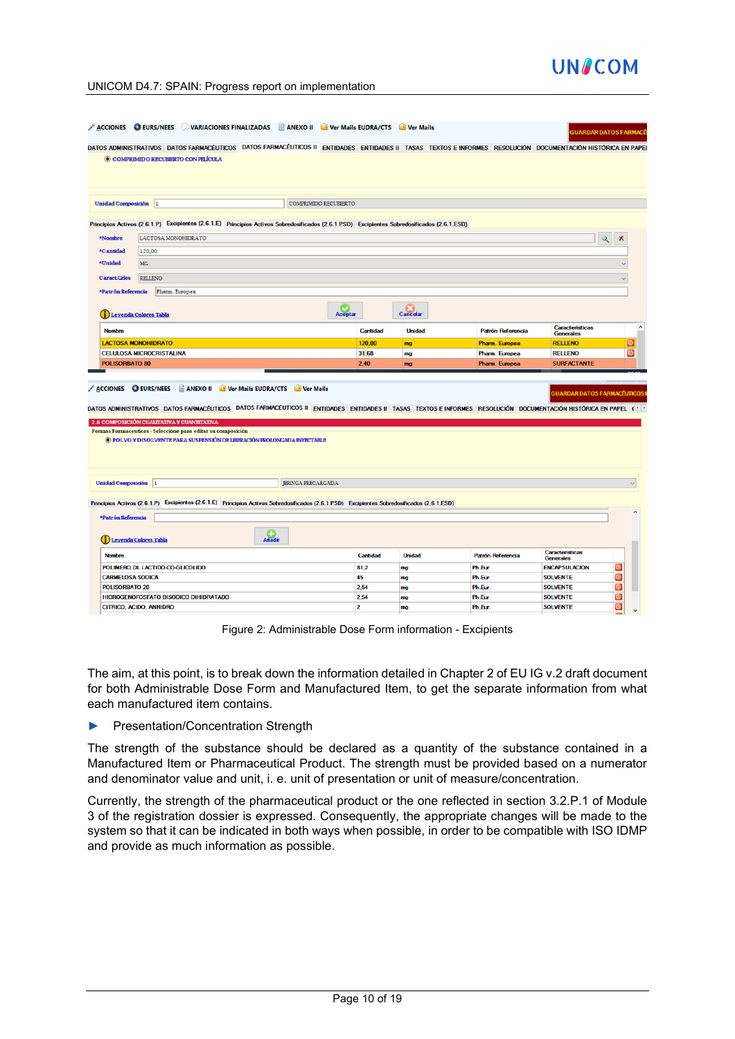# **UNACOM**

#### UNICOM D4.7: SPAIN: Progress report on implementation

|                                                | DATOS ADMINISTRATIVOS DATOS FARMACÉUTICOS DATOS FARMACÉUTICOS II ENTIDADES ENTIDADES II TASAS TEXTOS E INFORMES RESOLUCIÓN DOCUMENTACIÓN HISTÓRICA EN PAPEI                                                                                                                                                                                               |                     |                           |          |               |                   |                                                          |                    |
|------------------------------------------------|-----------------------------------------------------------------------------------------------------------------------------------------------------------------------------------------------------------------------------------------------------------------------------------------------------------------------------------------------------------|---------------------|---------------------------|----------|---------------|-------------------|----------------------------------------------------------|--------------------|
|                                                | © COMPRIMIDO RECUBIERTO CON PELÍCULA                                                                                                                                                                                                                                                                                                                      |                     |                           |          |               |                   |                                                          |                    |
| Unidad Composición  1                          |                                                                                                                                                                                                                                                                                                                                                           |                     | COMPRIMIDO RECUBIERTO     |          |               |                   |                                                          |                    |
|                                                | Principios Activos (2.6.1.P) Excipientes (2.6.1.E) Principios Activos Sobredosificados (2.6.1.PSD) Excipientes Sobredosificados (2.6.1.ESD)                                                                                                                                                                                                               |                     |                           |          |               |                   |                                                          |                    |
| *Nombre                                        | LACTOSA MONOHIDRATO                                                                                                                                                                                                                                                                                                                                       |                     |                           |          |               |                   | Q                                                        | х                  |
| *Cantidad                                      | 120,00                                                                                                                                                                                                                                                                                                                                                    |                     |                           |          |               |                   |                                                          |                    |
| *Unidad                                        | MG                                                                                                                                                                                                                                                                                                                                                        |                     |                           |          |               |                   |                                                          |                    |
|                                                |                                                                                                                                                                                                                                                                                                                                                           |                     |                           |          |               |                   |                                                          |                    |
| <b>Caract Grles</b>                            | RELLENO                                                                                                                                                                                                                                                                                                                                                   |                     |                           |          |               |                   |                                                          |                    |
| *Patrón Referencia                             | Pharm. Europea                                                                                                                                                                                                                                                                                                                                            |                     |                           |          |               |                   |                                                          |                    |
|                                                | Leyenda Colores Tabla                                                                                                                                                                                                                                                                                                                                     |                     | Aceptar                   |          | Cancelar      |                   |                                                          |                    |
| <b>Nombre</b>                                  |                                                                                                                                                                                                                                                                                                                                                           |                     |                           | Cantidad | <b>Unidad</b> | Patrón Referencia | Caracteristicas<br><b>Generales</b>                      |                    |
|                                                | <b>LACTOSA MONOHIDRATO</b>                                                                                                                                                                                                                                                                                                                                |                     |                           | 120,00   | mg            | Pharm. Europea    | <b>RELLENO</b>                                           | $\circ$            |
|                                                |                                                                                                                                                                                                                                                                                                                                                           |                     |                           |          |               |                   |                                                          |                    |
|                                                | <b>CELULOSA MICROCRISTALINA</b>                                                                                                                                                                                                                                                                                                                           |                     |                           | 31,68    | mg            | Pharm. Europea    | <b>RELLENO</b>                                           | O                  |
| <b>POLISORBATO 80</b>                          | ACCIONES DEURS/NEES ANEXO II Ver Mails EUDRA/CTS Ver Mails                                                                                                                                                                                                                                                                                                |                     |                           | 2.40     | ma            | Pharm. Europea    | <b>SURFACTANTE</b><br><b>SUARDAR DATOS FARMACÉUTICOS</b> |                    |
|                                                | DATOS ADMINISTRATIVOS DATOS FARMACÉUTICOS DATOS FARMACÉUTICOS II ENTIDADES ENTIDADES II TASAS TEXTOS E INFORMES RESOLUCIÓN DOCUMENTACIÓN HISTÓRICA EN PAPEL (+)<br>2.6 COMPOSICIÓN CUALITATIVA Y CUANITIATIVA<br>Formas Farmaceuticas - Seleccione para editar su composición<br>O POLVO Y DISOLVENTE PARA SUSPENSIÓN DE LIBERACIÓN PROLONGADA INYECTABLE |                     |                           |          |               |                   |                                                          |                    |
|                                                |                                                                                                                                                                                                                                                                                                                                                           |                     |                           |          |               |                   |                                                          |                    |
|                                                |                                                                                                                                                                                                                                                                                                                                                           |                     | <b>JERINGA PRECARGADA</b> |          |               |                   |                                                          |                    |
|                                                | Principios Activos (2.6.1.P) Excipientes (2.6.1.E) Principios Activos Sobredosificados (2.6.1.PSD) Excipientes Sobredosificados (2.6.1.ESD)                                                                                                                                                                                                               |                     |                           |          |               |                   |                                                          |                    |
|                                                |                                                                                                                                                                                                                                                                                                                                                           |                     |                           |          |               |                   |                                                          |                    |
| *Patrón Referencia                             | Leyenda Colores Tabla                                                                                                                                                                                                                                                                                                                                     | $\Omega_{\text{h}}$ |                           |          |               |                   |                                                          |                    |
| <b>Nombre</b>                                  |                                                                                                                                                                                                                                                                                                                                                           |                     |                           | Cantidad | <b>Unidad</b> | Patrón Referencia | <b>Caracteristicas</b>                                   |                    |
|                                                | POLIMERO DL LACTIDO-CO-GLICOLIDO                                                                                                                                                                                                                                                                                                                          |                     |                           | 81.2     | mg            | Ph.Eur.           | Generales<br><b>ENCAPSULACION</b>                        | $\circ$            |
| <b>CARMELOSA SODICA</b>                        |                                                                                                                                                                                                                                                                                                                                                           |                     |                           | 45       | mg            | Ph.Eur.           | <b>SOLVENTE</b>                                          | $\circ$            |
| Unidad Composición  1<br><b>POLISORBATO 20</b> |                                                                                                                                                                                                                                                                                                                                                           |                     |                           | 2.54     | mg            | Ph.Eur.           | <b>SOLVENTE</b>                                          | $\circ$            |
|                                                | HIDROGENOFOSFATO DISODICO DIHIDRATADO                                                                                                                                                                                                                                                                                                                     |                     |                           | 2,54     | mg            | Ph.Eur.           | <b>SOLVENTE</b>                                          | $\overline{\circ}$ |

Figure 2: Administrable Dose Form information - Excipients

The aim, at this point, is to break down the information detailed in Chapter 2 of EU IG v.2 draft document for both Administrable Dose Form and Manufactured Item, to get the separate information from what each manufactured item contains.

► Presentation/Concentration Strength

The strength of the substance should be declared as a quantity of the substance contained in a Manufactured Item or Pharmaceutical Product. The strength must be provided based on a numerator and denominator value and unit, i. e. unit of presentation or unit of measure/concentration.

Currently, the strength of the pharmaceutical product or the one reflected in section 3.2.P.1 of Module 3 of the registration dossier is expressed. Consequently, the appropriate changes will be made to the system so that it can be indicated in both ways when possible, in order to be compatible with ISO IDMP and provide as much information as possible.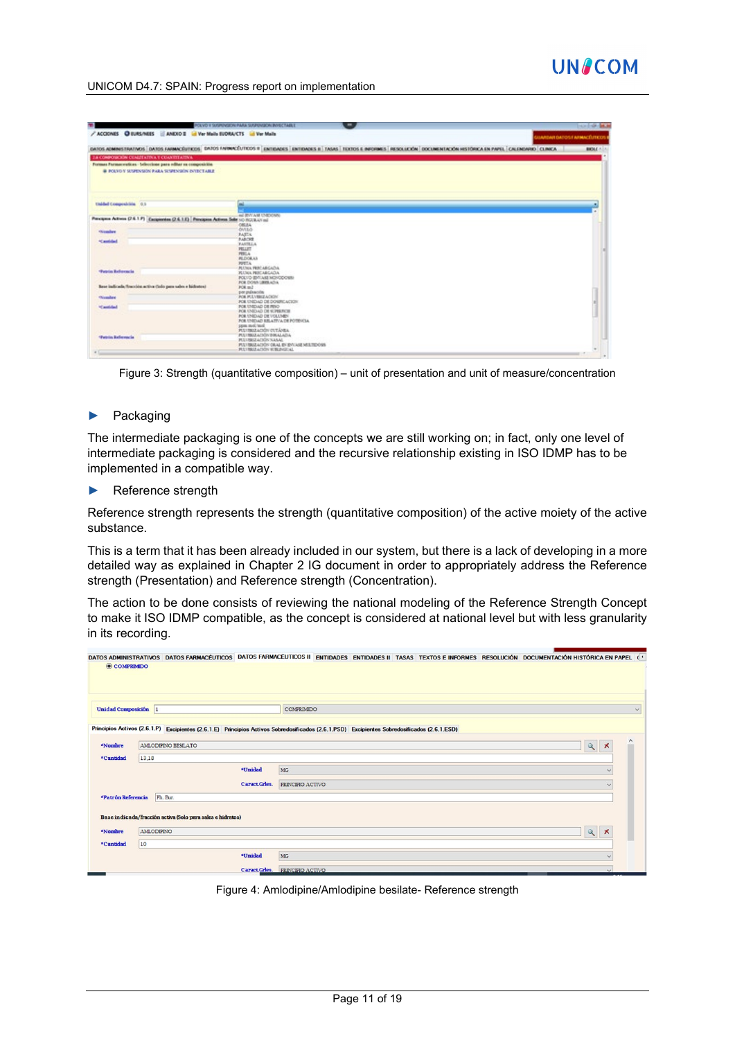| ۰                                                                                             | POLVO V SUSPENSION PARA SUSPENSION INVECTABLE<br>$\blacksquare$                                                                                                                               | $-0.149 - 0.00$     |
|-----------------------------------------------------------------------------------------------|-----------------------------------------------------------------------------------------------------------------------------------------------------------------------------------------------|---------------------|
| ACCIONES CHURS/NEES ANDIO 2 & Ver Mails EUDRA/CTS & Ver Mails                                 | <b>JUANDAH DATOST ARMACÉUTICOS I</b>                                                                                                                                                          |                     |
|                                                                                               | DATOS ADMINISTRATIVOS   DATOS FARMACÉUTICOS   DATOS FARMACÉUTICOS     ENTEDADES   ENTEDADES   TASAS   EDOTOS E INFORMES   RESOLUCIÓN   DOCUMENTACIÓN HISTÓRICA EN PAPEL   CALENDARIO   CUNICA | <b>BIOLE A.L.A.</b> |
|                                                                                               |                                                                                                                                                                                               |                     |
| 2.8 COMPOSICION CUALITATIVA Y CUANTITATIVA                                                    |                                                                                                                                                                                               |                     |
| Formes Farmaceutices - Seleccione para editor su composición                                  |                                                                                                                                                                                               |                     |
| @ POLYO V SUSPENSION PARA SUSPENSION ENTECTABLE                                               |                                                                                                                                                                                               |                     |
|                                                                                               |                                                                                                                                                                                               |                     |
| Unided Composición 0.1                                                                        |                                                                                                                                                                                               |                     |
| Previgiere Activere (2.6.1.P) Eacquierdem (2.6.1.E) Principiere Activem Seller (c) (ECELA) m2 | ALL BRATING ENERGY AND                                                                                                                                                                        |                     |
|                                                                                               | <b>OBLEA</b><br>OVIAO                                                                                                                                                                         |                     |
| <b><i><u>exception</u></i></b>                                                                | <b>FATTA</b>                                                                                                                                                                                  |                     |
|                                                                                               | NATCHE                                                                                                                                                                                        |                     |
| *Cantidad                                                                                     | <b>FASTELA</b>                                                                                                                                                                                |                     |
|                                                                                               | PELLET                                                                                                                                                                                        |                     |
|                                                                                               | PERLA                                                                                                                                                                                         |                     |
|                                                                                               | <b>PEZICKAN</b><br><b>PUTTA</b>                                                                                                                                                               |                     |
|                                                                                               | <b>PLUMA FRECARCADA</b>                                                                                                                                                                       |                     |
| <b>Tunin</b> Informia                                                                         | <b>RUMA RECABCADA</b>                                                                                                                                                                         |                     |
|                                                                                               | FOLVO BWARE MOVODOWN                                                                                                                                                                          |                     |
|                                                                                               | FOR DOWN LINISLADA.                                                                                                                                                                           |                     |
| Bese indicada. Succión activa (Solo para sales e bidratos)                                    | FOR BUT                                                                                                                                                                                       |                     |
| <b>Giander</b>                                                                                | per pulsación<br>FOR PULYMEE ACROSS                                                                                                                                                           |                     |
|                                                                                               | FOR UNIDAD DE DOMINI ACION                                                                                                                                                                    |                     |
| <b>Standard</b>                                                                               | FOR UNDAD DE RINO                                                                                                                                                                             |                     |
|                                                                                               | FOR UNITARY DR 61398/9018                                                                                                                                                                     |                     |
|                                                                                               | FOR UNDAID DE VOLUMEY                                                                                                                                                                         |                     |
|                                                                                               | FOR UNIOAD RELATIVA DE POTENCIA.                                                                                                                                                              |                     |
|                                                                                               | pass mol/mol.<br><b>PULVINGLACIÓN CUTÁNICA</b>                                                                                                                                                |                     |
|                                                                                               | PULVISUZACIÓN INNALAZIA                                                                                                                                                                       |                     |
| <b>Testin Referencia</b>                                                                      | <b>PULVISITACIÓN NANAL</b>                                                                                                                                                                    |                     |
|                                                                                               | PULVISUZACIÓN OEAL EN EVITASE MULTEDOSIS                                                                                                                                                      |                     |
|                                                                                               | <b>PULVIS CLASSIN SUBLIMIZING</b>                                                                                                                                                             |                     |

Figure 3: Strength (quantitative composition) – unit of presentation and unit of measure/concentration

#### ► Packaging

The intermediate packaging is one of the concepts we are still working on; in fact, only one level of intermediate packaging is considered and the recursive relationship existing in ISO IDMP has to be implemented in a compatible way.

#### ► Reference strength

Reference strength represents the strength (quantitative composition) of the active moiety of the active substance.

This is a term that it has been already included in our system, but there is a lack of developing in a more detailed way as explained in Chapter 2 IG document in order to appropriately address the Reference strength (Presentation) and Reference strength (Concentration).

The action to be done consists of reviewing the national modeling of the Reference Strength Concept to make it ISO IDMP compatible, as the concept is considered at national level but with less granularity in its recording.

|                      | DATOS ADMINISTRATIVOS DATOS FARMACÉUTICOS DATOS FARMACÉUTICOS II ENTIDADES ENTIDADES II TASAS TEXTOS E INFORMES RESOLUCIÓN DOCUMENTACIÓN HISTÓRICA EN PAPEL ( · |               |                  |  |  |              |                       |              |
|----------------------|-----------------------------------------------------------------------------------------------------------------------------------------------------------------|---------------|------------------|--|--|--------------|-----------------------|--------------|
| © COMPRIMIDO         |                                                                                                                                                                 |               |                  |  |  |              |                       |              |
| Unidad Composición 1 |                                                                                                                                                                 |               | COMPRIMIDO       |  |  |              |                       | $\checkmark$ |
|                      | Principios Activos (2.6.1.P) Excipientes (2.6.1.E) Principios Activos Sobredosificados (2.6.1.PSD) Excipientes Sobredosificados (2.6.1.ESD)                     |               |                  |  |  |              |                       |              |
| *Nombre              | AMLODIPINO BESILATO                                                                                                                                             |               |                  |  |  | $\mathbb{Q}$ | Х                     |              |
| *Cantidad            | 13,18                                                                                                                                                           |               |                  |  |  |              |                       |              |
|                      |                                                                                                                                                                 | *Unidad       | MG               |  |  |              |                       |              |
|                      |                                                                                                                                                                 | Caract Grles. | PRINCIPIO ACTIVO |  |  |              |                       |              |
| *Patrón Referencia   | Ph. Eur.                                                                                                                                                        |               |                  |  |  |              |                       |              |
|                      | Base indicada/fracción activa (Solo para sales e hidratos)                                                                                                      |               |                  |  |  |              |                       |              |
| *Nombre              | <b>AMLODIPINO</b>                                                                                                                                               |               |                  |  |  | $\alpha$     | $\boldsymbol{\times}$ |              |
| *Cantidad            | 10                                                                                                                                                              |               |                  |  |  |              |                       |              |
|                      |                                                                                                                                                                 | *Unidad       | MG               |  |  |              |                       |              |
|                      |                                                                                                                                                                 | Caract Grles. | PRINCIPIO ACTIVO |  |  |              |                       |              |

Figure 4: Amlodipine/Amlodipine besilate- Reference strength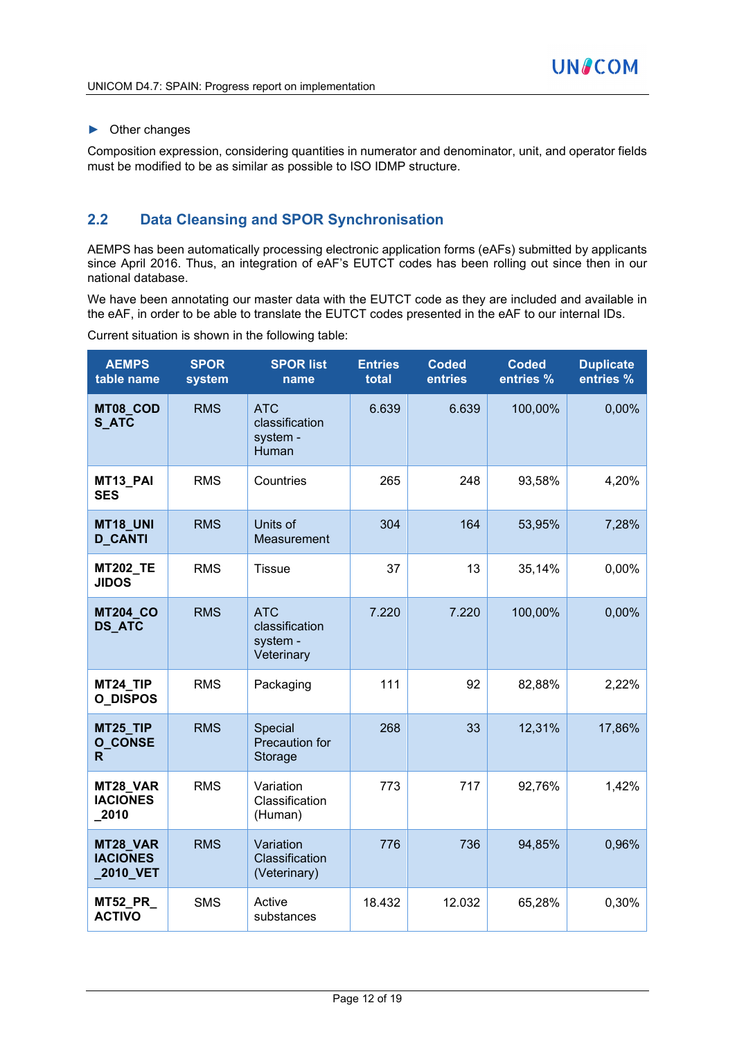#### ► Other changes

Composition expression, considering quantities in numerator and denominator, unit, and operator fields must be modified to be as similar as possible to ISO IDMP structure.

#### **2.2 Data Cleansing and SPOR Synchronisation**

AEMPS has been automatically processing electronic application forms (eAFs) submitted by applicants since April 2016. Thus, an integration of eAF's EUTCT codes has been rolling out since then in our national database.

We have been annotating our master data with the EUTCT code as they are included and available in the eAF, in order to be able to translate the EUTCT codes presented in the eAF to our internal IDs.

Current situation is shown in the following table:

| <b>AEMPS</b><br>table name              | <b>SPOR</b><br>system | <b>SPOR list</b><br>name                               | <b>Entries</b><br>total | <b>Coded</b><br>entries | <b>Coded</b><br>entries % | <b>Duplicate</b><br>entries % |
|-----------------------------------------|-----------------------|--------------------------------------------------------|-------------------------|-------------------------|---------------------------|-------------------------------|
| MT08_COD<br><b>S_ATC</b>                | <b>RMS</b>            | <b>ATC</b><br>classification<br>system -<br>Human      | 6.639                   | 6.639                   | 100,00%                   | 0,00%                         |
| MT13 PAI<br><b>SES</b>                  | <b>RMS</b>            | Countries                                              | 265                     | 248                     | 93,58%                    | 4,20%                         |
| MT18 UNI<br><b>D_CANTI</b>              | <b>RMS</b>            | Units of<br>Measurement                                | 304                     | 164                     | 53,95%                    | 7,28%                         |
| <b>MT202_TE</b><br><b>JIDOS</b>         | <b>RMS</b>            | <b>Tissue</b>                                          | 37                      | 13                      | 35,14%                    | 0,00%                         |
| <b>MT204_CO</b><br><b>DS_ATC</b>        | <b>RMS</b>            | <b>ATC</b><br>classification<br>system -<br>Veterinary | 7.220                   | 7.220                   | 100,00%                   | 0,00%                         |
| MT24_TIP<br><b>O_DISPOS</b>             | <b>RMS</b>            | Packaging                                              | 111                     | 92                      | 82,88%                    | 2,22%                         |
| MT25_TIP<br><b>O_CONSE</b><br>R.        | <b>RMS</b>            | Special<br>Precaution for<br>Storage                   | 268                     | 33                      | 12,31%                    | 17,86%                        |
| MT28_VAR<br><b>IACIONES</b><br>_2010    | <b>RMS</b>            | Variation<br>Classification<br>(Human)                 | 773                     | 717                     | 92,76%                    | 1,42%                         |
| MT28_VAR<br><b>IACIONES</b><br>2010_VET | <b>RMS</b>            | Variation<br>Classification<br>(Veterinary)            | 776                     | 736                     | 94,85%                    | 0,96%                         |
| <b>MT52_PR_</b><br><b>ACTIVO</b>        | <b>SMS</b>            | Active<br>substances                                   | 18.432                  | 12.032                  | 65,28%                    | 0,30%                         |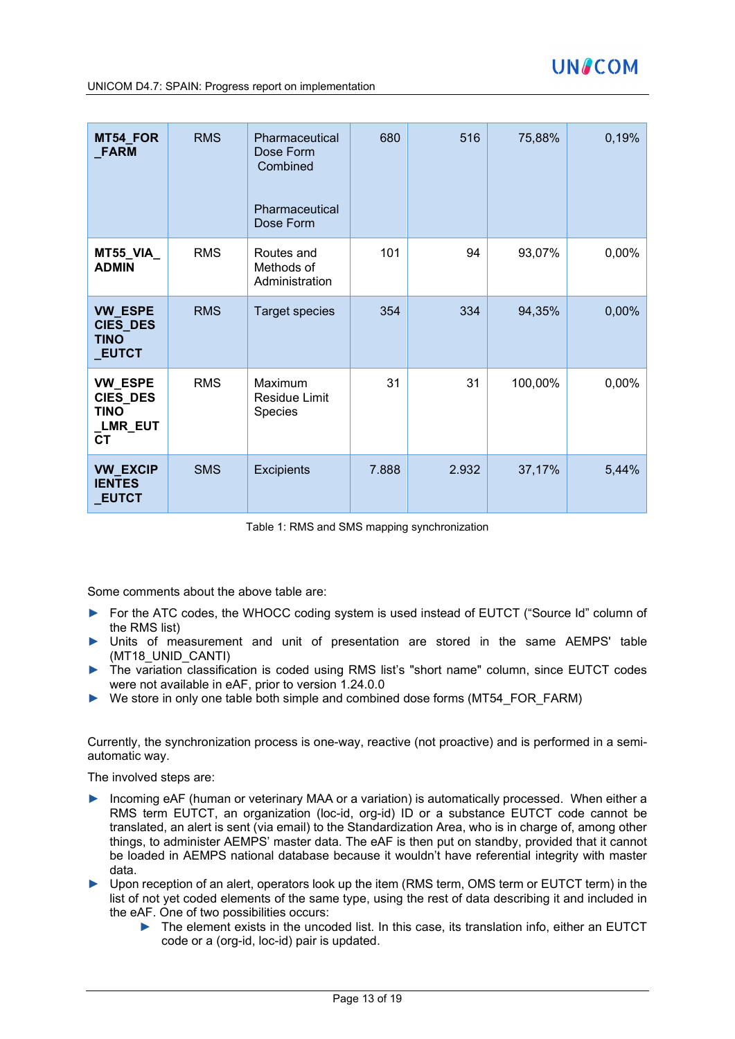| MT54_FOR<br><b>FARM</b>                                                          | <b>RMS</b> | Pharmaceutical<br>Dose Form<br>Combined<br>Pharmaceutical<br>Dose Form | 680   | 516   | 75,88%  | 0,19% |
|----------------------------------------------------------------------------------|------------|------------------------------------------------------------------------|-------|-------|---------|-------|
| MT55_VIA_<br><b>ADMIN</b>                                                        | <b>RMS</b> | Routes and<br>Methods of<br>Administration                             | 101   | 94    | 93,07%  | 0,00% |
| <b>VW_ESPE</b><br>CIES_DES<br><b>TINO</b><br><b>EUTCT</b>                        | <b>RMS</b> | Target species                                                         | 354   | 334   | 94,35%  | 0,00% |
| <b>VW ESPE</b><br><b>CIES_DES</b><br><b>TINO</b><br><b>_LMR_EUT</b><br><b>CT</b> | <b>RMS</b> | Maximum<br>Residue Limit<br>Species                                    | 31    | 31    | 100,00% | 0,00% |
| <b>VW_EXCIP</b><br><b>IENTES</b><br><b>EUTCT</b>                                 | <b>SMS</b> | <b>Excipients</b>                                                      | 7.888 | 2.932 | 37,17%  | 5,44% |

Table 1: RMS and SMS mapping synchronization

Some comments about the above table are:

- ► For the ATC codes, the WHOCC coding system is used instead of EUTCT ("Source Id" column of the RMS list)
- ► Units of measurement and unit of presentation are stored in the same AEMPS' table (MT18\_UNID\_CANTI)
- ► The variation classification is coded using RMS list's "short name" column, since EUTCT codes were not available in eAF, prior to version 1.24.0.0
- ► We store in only one table both simple and combined dose forms (MT54\_FOR\_FARM)

Currently, the synchronization process is one-way, reactive (not proactive) and is performed in a semiautomatic way.

The involved steps are:

- ► Incoming eAF (human or veterinary MAA or a variation) is automatically processed. When either a RMS term EUTCT, an organization (loc-id, org-id) ID or a substance EUTCT code cannot be translated, an alert is sent (via email) to the Standardization Area, who is in charge of, among other things, to administer AEMPS' master data. The eAF is then put on standby, provided that it cannot be loaded in AEMPS national database because it wouldn't have referential integrity with master data.
- ► Upon reception of an alert, operators look up the item (RMS term, OMS term or EUTCT term) in the list of not yet coded elements of the same type, using the rest of data describing it and included in the eAF. One of two possibilities occurs:
	- ► The element exists in the uncoded list. In this case, its translation info, either an EUTCT code or a (org-id, loc-id) pair is updated.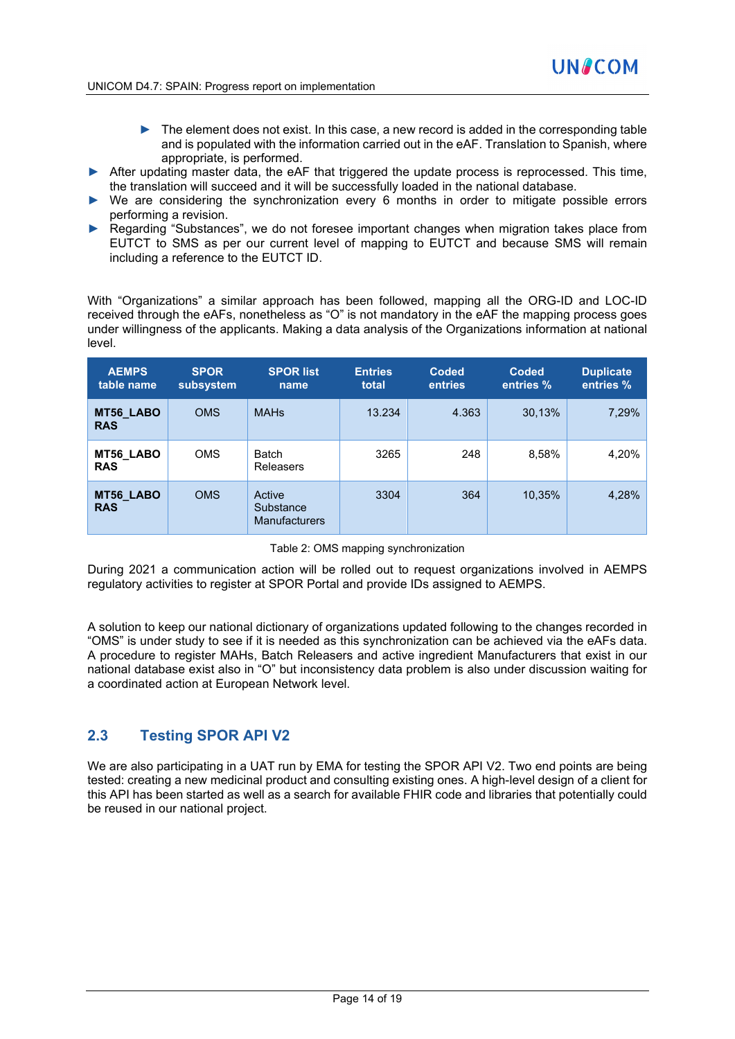- ► The element does not exist. In this case, a new record is added in the corresponding table and is populated with the information carried out in the eAF. Translation to Spanish, where appropriate, is performed.
- ► After updating master data, the eAF that triggered the update process is reprocessed. This time, the translation will succeed and it will be successfully loaded in the national database.
- ► We are considering the synchronization every 6 months in order to mitigate possible errors performing a revision.
- ▶ Regarding "Substances", we do not foresee important changes when migration takes place from EUTCT to SMS as per our current level of mapping to EUTCT and because SMS will remain including a reference to the EUTCT ID.

With "Organizations" a similar approach has been followed, mapping all the ORG-ID and LOC-ID received through the eAFs, nonetheless as "O" is not mandatory in the eAF the mapping process goes under willingness of the applicants. Making a data analysis of the Organizations information at national level.

| <b>AEMPS</b><br>table name | <b>SPOR</b><br>subsystem | <b>SPOR list</b><br>name                    | <b>Entries</b><br>total | <b>Coded</b><br>entries | <b>Coded</b><br>entries % | <b>Duplicate</b><br>entries % |
|----------------------------|--------------------------|---------------------------------------------|-------------------------|-------------------------|---------------------------|-------------------------------|
| MT56_LABO<br><b>RAS</b>    | <b>OMS</b>               | <b>MAHs</b>                                 | 13.234                  | 4.363                   | 30,13%                    | 7,29%                         |
| MT56_LABO<br><b>RAS</b>    | <b>OMS</b>               | <b>Batch</b><br><b>Releasers</b>            | 3265                    | 248                     | 8,58%                     | 4,20%                         |
| MT56_LABO<br><b>RAS</b>    | <b>OMS</b>               | Active<br>Substance<br><b>Manufacturers</b> | 3304                    | 364                     | 10,35%                    | 4,28%                         |

| Table 2: OMS mapping synchronization |  |
|--------------------------------------|--|
|--------------------------------------|--|

During 2021 a communication action will be rolled out to request organizations involved in AEMPS regulatory activities to register at SPOR Portal and provide IDs assigned to AEMPS.

A solution to keep our national dictionary of organizations updated following to the changes recorded in "OMS" is under study to see if it is needed as this synchronization can be achieved via the eAFs data. A procedure to register MAHs, Batch Releasers and active ingredient Manufacturers that exist in our national database exist also in "O" but inconsistency data problem is also under discussion waiting for a coordinated action at European Network level.

#### **2.3 Testing SPOR API V2**

We are also participating in a UAT run by EMA for testing the SPOR API V2. Two end points are being tested: creating a new medicinal product and consulting existing ones. A high-level design of a client for this API has been started as well as a search for available FHIR code and libraries that potentially could be reused in our national project.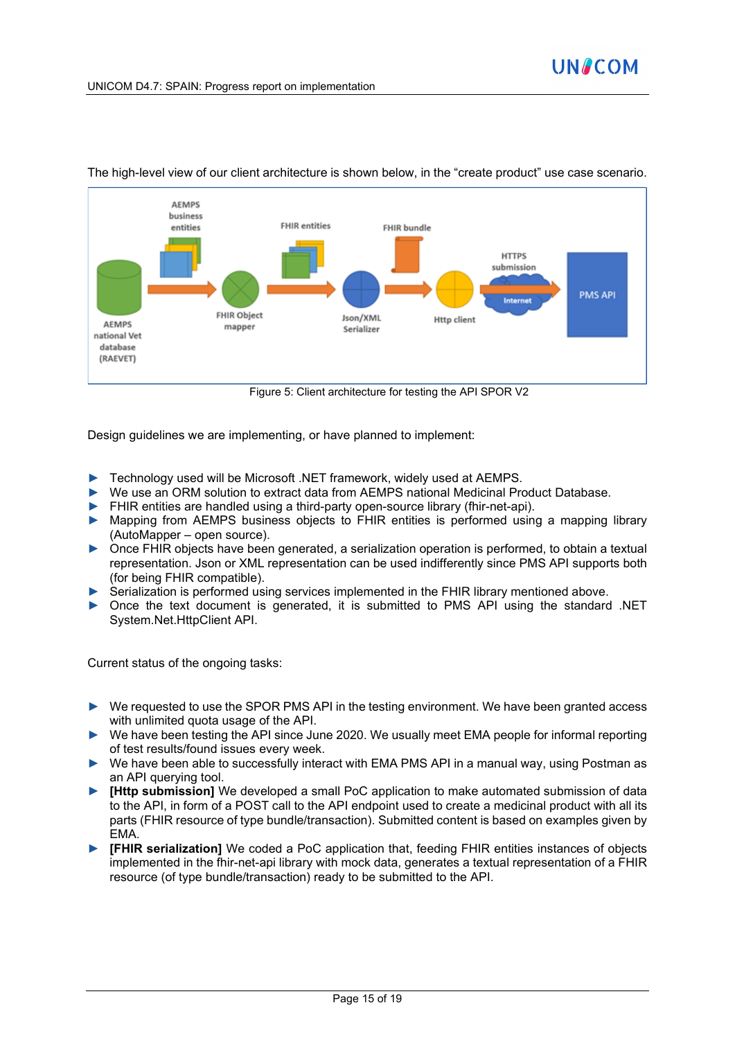

The high-level view of our client architecture is shown below, in the "create product" use case scenario.

Figure 5: Client architecture for testing the API SPOR V2

Design guidelines we are implementing, or have planned to implement:

- ► Technology used will be Microsoft .NET framework, widely used at AEMPS.
- ► We use an ORM solution to extract data from AEMPS national Medicinal Product Database.
- ► FHIR entities are handled using a third-party open-source library (fhir-net-api).
- ► Mapping from AEMPS business objects to FHIR entities is performed using a mapping library (AutoMapper – open source).
- ► Once FHIR objects have been generated, a serialization operation is performed, to obtain a textual representation. Json or XML representation can be used indifferently since PMS API supports both (for being FHIR compatible).
- ► Serialization is performed using services implemented in the FHIR library mentioned above.
- ► Once the text document is generated, it is submitted to PMS API using the standard .NET System.Net.HttpClient API.

Current status of the ongoing tasks:

- ► We requested to use the SPOR PMS API in the testing environment. We have been granted access with unlimited quota usage of the API.
- We have been testing the API since June 2020. We usually meet EMA people for informal reporting of test results/found issues every week.
- ► We have been able to successfully interact with EMA PMS API in a manual way, using Postman as an API querying tool.
- **[Http submission]** We developed a small PoC application to make automated submission of data to the API, in form of a POST call to the API endpoint used to create a medicinal product with all its parts (FHIR resource of type bundle/transaction). Submitted content is based on examples given by EMA.
- ► **[FHIR serialization]** We coded a PoC application that, feeding FHIR entities instances of objects implemented in the fhir-net-api library with mock data, generates a textual representation of a FHIR resource (of type bundle/transaction) ready to be submitted to the API.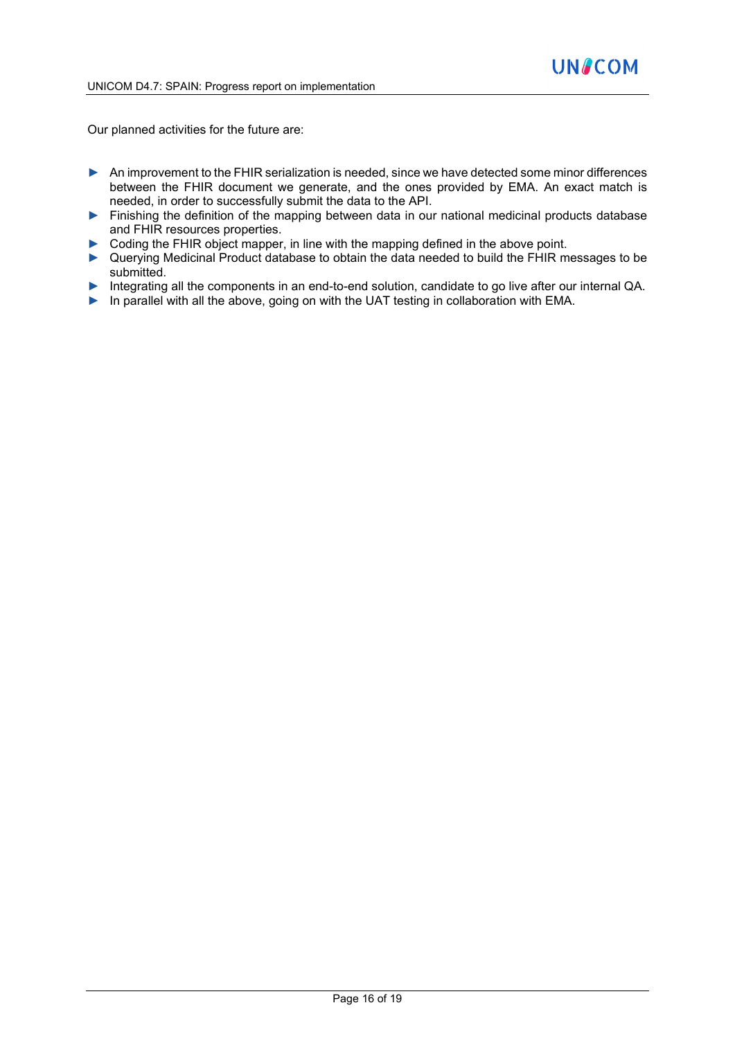Our planned activities for the future are:

- ▶ An improvement to the FHIR serialization is needed, since we have detected some minor differences between the FHIR document we generate, and the ones provided by EMA. An exact match is needed, in order to successfully submit the data to the API.
- ► Finishing the definition of the mapping between data in our national medicinal products database and FHIR resources properties.
- ► Coding the FHIR object mapper, in line with the mapping defined in the above point.
- ► Querying Medicinal Product database to obtain the data needed to build the FHIR messages to be submitted.
- ► Integrating all the components in an end-to-end solution, candidate to go live after our internal QA.
- ► In parallel with all the above, going on with the UAT testing in collaboration with EMA.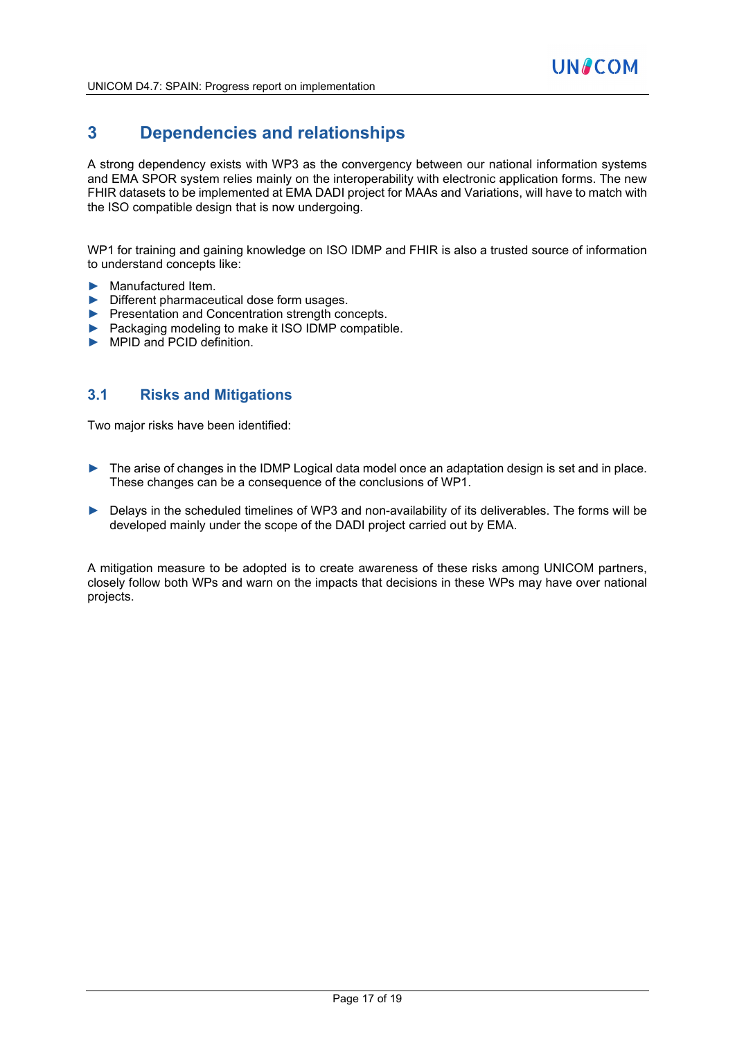### **3 Dependencies and relationships**

A strong dependency exists with WP3 as the convergency between our national information systems and EMA SPOR system relies mainly on the interoperability with electronic application forms. The new FHIR datasets to be implemented at EMA DADI project for MAAs and Variations, will have to match with the ISO compatible design that is now undergoing.

WP1 for training and gaining knowledge on ISO IDMP and FHIR is also a trusted source of information to understand concepts like:

- ► Manufactured Item.
- ► Different pharmaceutical dose form usages.
- ► Presentation and Concentration strength concepts.
- ► Packaging modeling to make it ISO IDMP compatible.
- ► MPID and PCID definition.

#### **3.1 Risks and Mitigations**

Two major risks have been identified:

- ► The arise of changes in the IDMP Logical data model once an adaptation design is set and in place. These changes can be a consequence of the conclusions of WP1.
- ► Delays in the scheduled timelines of WP3 and non-availability of its deliverables. The forms will be developed mainly under the scope of the DADI project carried out by EMA.

A mitigation measure to be adopted is to create awareness of these risks among UNICOM partners, closely follow both WPs and warn on the impacts that decisions in these WPs may have over national projects.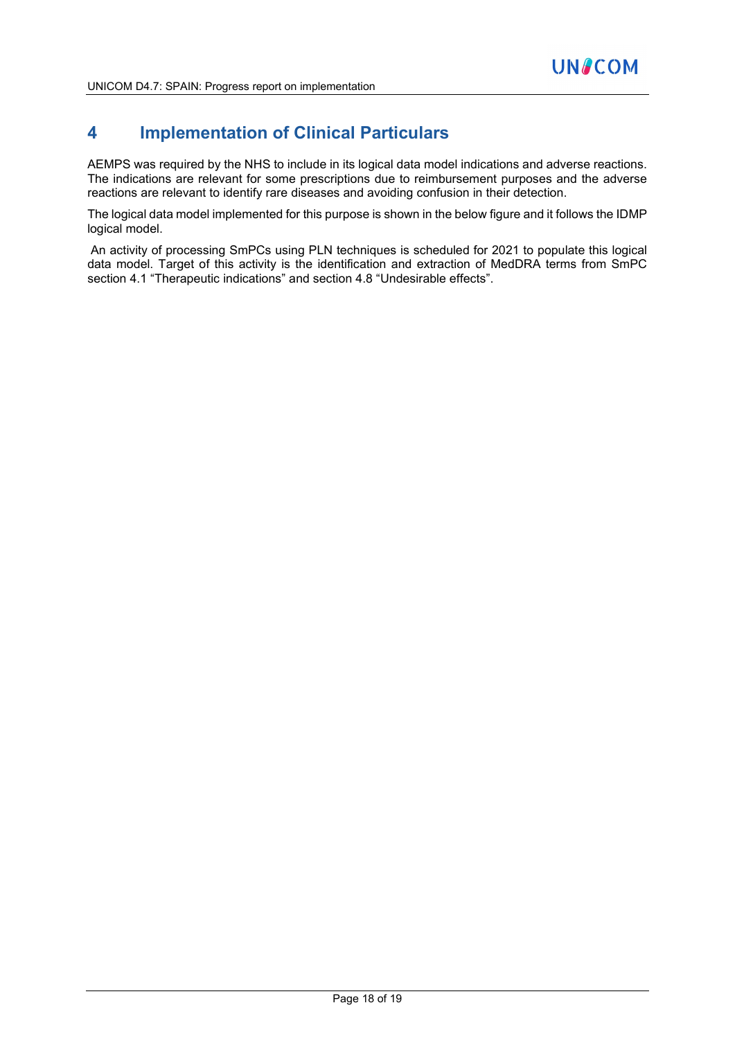### **4 Implementation of Clinical Particulars**

AEMPS was required by the NHS to include in its logical data model indications and adverse reactions. The indications are relevant for some prescriptions due to reimbursement purposes and the adverse reactions are relevant to identify rare diseases and avoiding confusion in their detection.

The logical data model implemented for this purpose is shown in the below figure and it follows the IDMP logical model.

An activity of processing SmPCs using PLN techniques is scheduled for 2021 to populate this logical data model. Target of this activity is the identification and extraction of MedDRA terms from SmPC section 4.1 "Therapeutic indications" and section 4.8 "Undesirable effects".